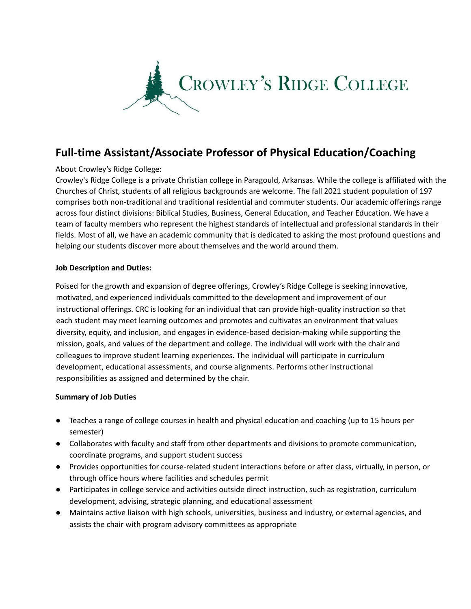

# **Full-time Assistant/Associate Professor of Physical Education/Coaching**

## About Crowley's Ridge College:

Crowley's Ridge College is a private Christian college in Paragould, Arkansas. While the college is affiliated with the Churches of Christ, students of all religious backgrounds are welcome. The fall 2021 student population of 197 comprises both non-traditional and traditional residential and commuter students. Our academic offerings range across four distinct divisions: Biblical Studies, Business, General Education, and Teacher Education. We have a team of faculty members who represent the highest standards of intellectual and professional standards in their fields. Most of all, we have an academic community that is dedicated to asking the most profound questions and helping our students discover more about themselves and the world around them.

### **Job Description and Duties:**

Poised for the growth and expansion of degree offerings, Crowley's Ridge College is seeking innovative, motivated, and experienced individuals committed to the development and improvement of our instructional offerings. CRC is looking for an individual that can provide high-quality instruction so that each student may meet learning outcomes and promotes and cultivates an environment that values diversity, equity, and inclusion, and engages in evidence-based decision-making while supporting the mission, goals, and values of the department and college. The individual will work with the chair and colleagues to improve student learning experiences. The individual will participate in curriculum development, educational assessments, and course alignments. Performs other instructional responsibilities as assigned and determined by the chair.

### **Summary of Job Duties**

- Teaches a range of college courses in health and physical education and coaching (up to 15 hours per semester)
- Collaborates with faculty and staff from other departments and divisions to promote communication, coordinate programs, and support student success
- Provides opportunities for course-related student interactions before or after class, virtually, in person, or through office hours where facilities and schedules permit
- Participates in college service and activities outside direct instruction, such as registration, curriculum development, advising, strategic planning, and educational assessment
- Maintains active liaison with high schools, universities, business and industry, or external agencies, and assists the chair with program advisory committees as appropriate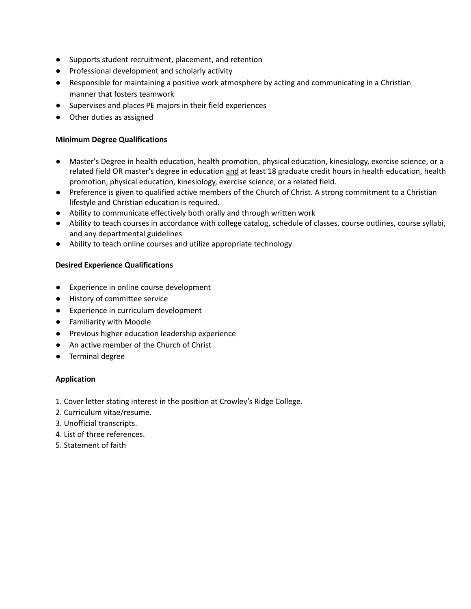- Supports student recruitment, placement, and retention
- Professional development and scholarly activity
- Responsible for maintaining a positive work atmosphere by acting and communicating in a Christian manner that fosters teamwork
- Supervises and places PE majors in their field experiences
- Other duties as assigned

#### **Minimum Degree Qualifications**

- Master's Degree in health education, health promotion, physical education, kinesiology, exercise science, or a related field OR master's degree in education and at least 18 graduate credit hours in health education, health promotion, physical education, kinesiology, exercise science, or a related field.
- Preference is given to qualified active members of the Church of Christ. A strong commitment to a Christian lifestyle and Christian education is required.
- Ability to communicate effectively both orally and through written work
- Ability to teach courses in accordance with college catalog, schedule of classes, course outlines, course syllabi, and any departmental guidelines
- Ability to teach online courses and utilize appropriate technology

#### **Desired Experience Qualifications**

- Experience in online course development
- History of committee service
- Experience in curriculum development
- Familiarity with Moodle
- Previous higher education leadership experience
- An active member of the Church of Christ
- Terminal degree

### **Application**

- 1. Cover letter stating interest in the position at Crowley's Ridge College.
- 2. Curriculum vitae/resume.
- 3. Unofficial transcripts.
- 4. List of three references.
- 5. Statement of faith